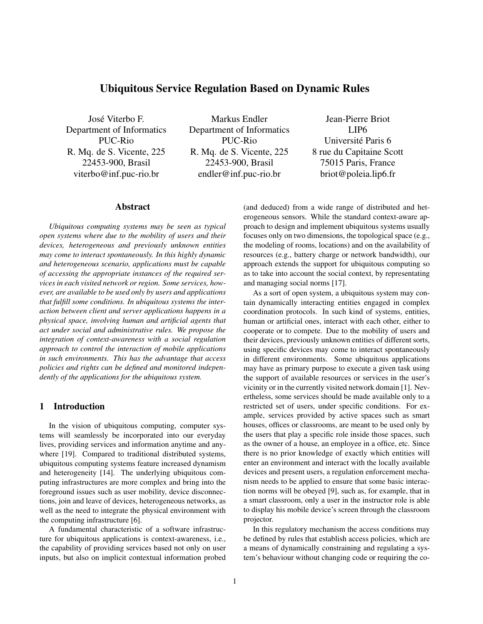# Ubiquitous Service Regulation Based on Dynamic Rules

José Viterbo F. Department of Informatics PUC-Rio R. Mq. de S. Vicente, 225 22453-900, Brasil viterbo@inf.puc-rio.br

Markus Endler Department of Informatics PUC-Rio R. Mq. de S. Vicente, 225 22453-900, Brasil endler@inf.puc-rio.br

Jean-Pierre Briot LIP6 Universite Paris 6 ´ 8 rue du Capitaine Scott 75015 Paris, France briot@poleia.lip6.fr

#### Abstract

*Ubiquitous computing systems may be seen as typical open systems where due to the mobility of users and their devices, heterogeneous and previously unknown entities may come to interact spontaneously. In this highly dynamic and heterogeneous scenario, applications must be capable of accessing the appropriate instances of the required services in each visited network or region. Some services, however, are available to be used only by users and applications that fulfill some conditions. In ubiquitous systems the interaction between client and server applications happens in a physical space, involving human and artificial agents that act under social and administrative rules. We propose the integration of context-awareness with a social regulation approach to control the interaction of mobile applications in such environments. This has the advantage that access policies and rights can be defined and monitored independently of the applications for the ubiquitous system.*

#### 1 Introduction

In the vision of ubiquitous computing, computer systems will seamlessly be incorporated into our everyday lives, providing services and information anytime and anywhere [19]. Compared to traditional distributed systems, ubiquitous computing systems feature increased dynamism and heterogeneity [14]. The underlying ubiquitous computing infrastructures are more complex and bring into the foreground issues such as user mobility, device disconnections, join and leave of devices, heterogeneous networks, as well as the need to integrate the physical environment with the computing infrastructure [6].

A fundamental characteristic of a software infrastructure for ubiquitous applications is context-awareness, i.e., the capability of providing services based not only on user inputs, but also on implicit contextual information probed (and deduced) from a wide range of distributed and heterogeneous sensors. While the standard context-aware approach to design and implement ubiquitous systems usually focuses only on two dimensions, the topological space (e.g., the modeling of rooms, locations) and on the availability of resources (e.g., battery charge or network bandwidth), our approach extends the support for ubiquitous computing so as to take into account the social context, by representating and managing social norms [17].

As a sort of open system, a ubiquitous system may contain dynamically interacting entities engaged in complex coordination protocols. In such kind of systems, entities, human or artificial ones, interact with each other, either to cooperate or to compete. Due to the mobility of users and their devices, previously unknown entities of different sorts, using specific devices may come to interact spontaneously in different environments. Some ubiquitous applications may have as primary purpose to execute a given task using the support of available resources or services in the user's vicinity or in the currently visited network domain [1]. Nevertheless, some services should be made available only to a restricted set of users, under specific conditions. For example, services provided by active spaces such as smart houses, offices or classrooms, are meant to be used only by the users that play a specific role inside those spaces, such as the owner of a house, an employee in a office, etc. Since there is no prior knowledge of exactly which entities will enter an environment and interact with the locally available devices and present users, a regulation enforcement mechanism needs to be applied to ensure that some basic interaction norms will be obeyed [9], such as, for example, that in a smart classroom, only a user in the instructor role is able to display his mobile device's screen through the classroom projector.

In this regulatory mechanism the access conditions may be defined by rules that establish access policies, which are a means of dynamically constraining and regulating a system's behaviour without changing code or requiring the co-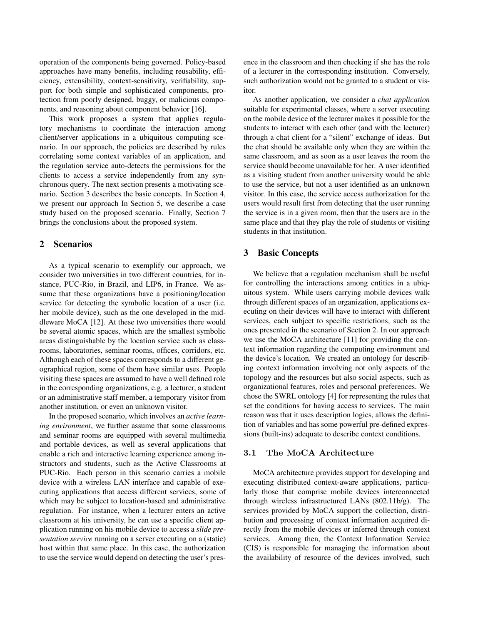operation of the components being governed. Policy-based approaches have many benefits, including reusability, efficiency, extensibility, context-sensitivity, verifiability, support for both simple and sophisticated components, protection from poorly designed, buggy, or malicious components, and reasoning about component behavior [16].

This work proposes a system that applies regulatory mechanisms to coordinate the interaction among client/server applications in a ubiquitous computing scenario. In our approach, the policies are described by rules correlating some context variables of an application, and the regulation service auto-detects the permissions for the clients to access a service independently from any synchronous query. The next section presents a motivating scenario. Section 3 describes the basic concepts. In Section 4, we present our approach In Section 5, we describe a case study based on the proposed scenario. Finally, Section 7 brings the conclusions about the proposed system.

## 2 Scenarios

As a typical scenario to exemplify our approach, we consider two universities in two different countries, for instance, PUC-Rio, in Brazil, and LIP6, in France. We assume that these organizations have a positioning/location service for detecting the symbolic location of a user (i.e. her mobile device), such as the one developed in the middleware MoCA [12]. At these two universities there would be several atomic spaces, which are the smallest symbolic areas distinguishable by the location service such as classrooms, laboratories, seminar rooms, offices, corridors, etc. Although each of these spaces corresponds to a different geographical region, some of them have similar uses. People visiting these spaces are assumed to have a well defined role in the corresponding organizations, e.g. a lecturer, a student or an administrative staff member, a temporary visitor from another institution, or even an unknown visitor.

In the proposed scenario, which involves an *active learning environment*, we further assume that some classrooms and seminar rooms are equipped with several multimedia and portable devices, as well as several applications that enable a rich and interactive learning experience among instructors and students, such as the Active Classrooms at PUC-Rio. Each person in this scenario carries a mobile device with a wireless LAN interface and capable of executing applications that access different services, some of which may be subject to location-based and administrative regulation. For instance, when a lecturer enters an active classroom at his university, he can use a specific client application running on his mobile device to access a *slide presentation service* running on a server executing on a (static) host within that same place. In this case, the authorization to use the service would depend on detecting the user's presence in the classroom and then checking if she has the role of a lecturer in the corresponding institution. Conversely, such authorization would not be granted to a student or visitor.

As another application, we consider a *chat application* suitable for experimental classes, where a server executing on the mobile device of the lecturer makes it possible for the students to interact with each other (and with the lecturer) through a chat client for a "silent" exchange of ideas. But the chat should be available only when they are within the same classroom, and as soon as a user leaves the room the service should become unavailable for her. A user identified as a visiting student from another university would be able to use the service, but not a user identified as an unknown visitor. In this case, the service access authorization for the users would result first from detecting that the user running the service is in a given room, then that the users are in the same place and that they play the role of students or visiting students in that institution.

## 3 Basic Concepts

We believe that a regulation mechanism shall be useful for controlling the interactions among entities in a ubiquitous system. While users carrying mobile devices walk through different spaces of an organization, applications executing on their devices will have to interact with different services, each subject to specific restrictions, such as the ones presented in the scenario of Section 2. In our approach we use the MoCA architecture [11] for providing the context information regarding the computing environment and the device's location. We created an ontology for describing context information involving not only aspects of the topology and the resources but also social aspects, such as organizational features, roles and personal preferences. We chose the SWRL ontology [4] for representing the rules that set the conditions for having access to services. The main reason was that it uses description logics, allows the definition of variables and has some powerful pre-defined expressions (built-ins) adequate to describe context conditions.

#### 3.1 The MoCA Architecture

MoCA architecture provides support for developing and executing distributed context-aware applications, particularly those that comprise mobile devices interconnected through wireless infrastructured LANs (802.11b/g). The services provided by MoCA support the collection, distribution and processing of context information acquired directly from the mobile devices or inferred through context services. Among then, the Context Information Service (CIS) is responsible for managing the information about the availability of resource of the devices involved, such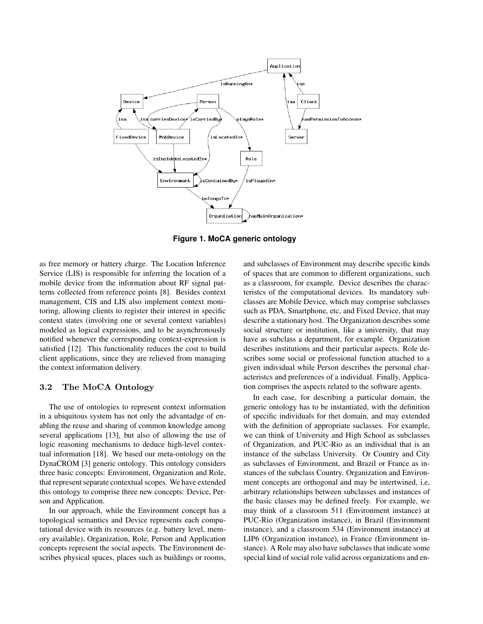

**Figure 1. MoCA generic ontology**

as free memory or battery charge. The Location Inference Service (LIS) is responsible for inferring the location of a mobile device from the information about RF signal patterns collected from reference points [8]. Besides context management, CIS and LIS also implement context monitoring, allowing clients to register their interest in specific context states (involving one or several context variables) modeled as logical expressions, and to be asynchronously notified whenever the corresponding context-expression is satisfied [12]. This functionality reduces the cost to build client applications, since they are relieved from managing the context information delivery.

## 3.2 The MoCA Ontology

The use of ontologies to represent context information in a ubiquitous system has not only the advantadge of enabling the reuse and sharing of common knowledge among several applications [13], but also of allowing the use of logic reasoning mechanisms to deduce high-level contextual information [18]. We based our meta-ontology on the DynaCROM [3] generic ontology. This ontology considers three basic concepts: Environment, Organization and Role, that represent separate contextual scopes. We have extended this ontology to comprise three new concepts: Device, Person and Application.

In our approach, while the Environment concept has a topological semantics and Device represents each computational device with its resources (e.g. battery level, memory available), Organization, Role, Person and Application concepts represent the social aspects. The Environment describes physical spaces, places such as buildings or rooms, and subclasses of Environment may describe specific kinds of spaces that are common to different organizations, such as a classroom, for example. Device describes the characteristcs of the computational devices. Its mandatory subclasses are Mobile Device, which may comprise subclasses such as PDA, Smartphone, etc, and Fixed Device, that may describe a stationary host. The Organization describes some social structure or institution, like a university, that may have as subclass a department, for example. Organization describes institutions and their particular aspects. Role describes some social or professional function attached to a given individual while Person describes the personal characteristcs and preferences of a individual. Finally, Application comprises the aspects related to the software agents.

In each case, for describing a particular domain, the generic ontology has to be instantiated, with the definition of specific individuals for thet domain, and may extended with the definition of appropriate suclasses. For example, we can think of University and High School as subclasses of Organization, and PUC-Rio as an individual that is an instance of the subclass University. Or Country and City as subclasses of Environment, and Brazil or France as instances of the subclass Country. Organization and Environment concepts are orthogonal and may be intertwined, i.e, arbitrary relationships between subclasses and instances of the basic classes may be defined freely. For example, we may think of a classroom 511 (Environment instance) at PUC-Rio (Organization instance), in Brazil (Environment instance), and a classroom 534 (Environment instance) at LIP6 (Organization instance), in France (Environment instance). A Role may also have subclasses that indicate some special kind of social role valid across organizations and en-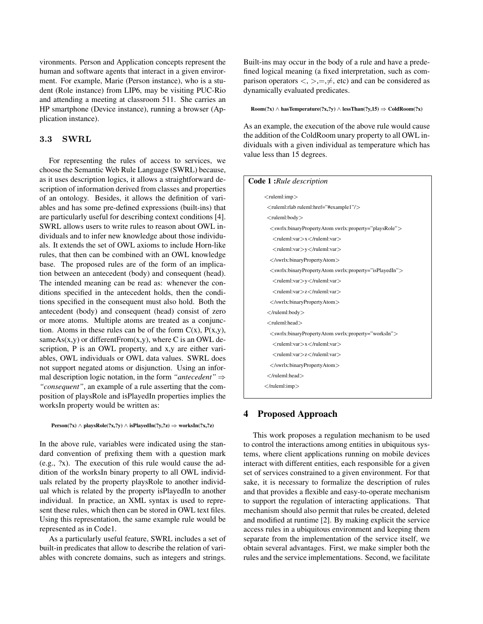vironments. Person and Application concepts represent the human and software agents that interact in a given envirorment. For example, Marie (Person instance), who is a student (Role instance) from LIP6, may be visiting PUC-Rio and attending a meeting at classroom 511. She carries an HP smartphone (Device instance), running a browser (Application instance).

## 3.3 SWRL

For representing the rules of access to services, we choose the Semantic Web Rule Language (SWRL) because, as it uses description logics, it allows a straightforward description of information derived from classes and properties of an ontology. Besides, it allows the definition of variables and has some pre-defined expressions (built-ins) that are particularly useful for describing context conditions [4]. SWRL allows users to write rules to reason about OWL individuals and to infer new knowledge about those individuals. It extends the set of OWL axioms to include Horn-like rules, that then can be combined with an OWL knowledge base. The proposed rules are of the form of an implication between an antecedent (body) and consequent (head). The intended meaning can be read as: whenever the conditions specified in the antecedent holds, then the conditions specified in the consequent must also hold. Both the antecedent (body) and consequent (head) consist of zero or more atoms. Multiple atoms are treated as a conjunction. Atoms in these rules can be of the form  $C(x)$ ,  $P(x,y)$ , sameAs(x,y) or differentFrom(x,y), where C is an OWL description, P is an OWL property, and x,y are either variables, OWL individuals or OWL data values. SWRL does not support negated atoms or disjunction. Using an informal description logic notation, in the form *"antecedent"* ⇒ *"consequent"*, an example of a rule asserting that the composition of playsRole and isPlayedIn properties implies the worksIn property would be written as:

#### $Person(?x) \wedge playsRole(?x,?y) \wedge isPlayedIn(?y,?z) \Rightarrow worksIn(?x,?z)$

In the above rule, variables were indicated using the standard convention of prefixing them with a question mark (e.g., ?x). The execution of this rule would cause the addition of the worksIn binary property to all OWL individuals related by the property playsRole to another individual which is related by the property isPlayedIn to another individual. In practice, an XML syntax is used to represent these rules, which then can be stored in OWL text files. Using this representation, the same example rule would be represented as in Code1.

As a particularly useful feature, SWRL includes a set of built-in predicates that allow to describe the relation of variables with concrete domains, such as integers and strings.

Built-ins may occur in the body of a rule and have a predefined logical meaning (a fixed interpretation, such as comparison operators  $\langle , \rangle = , \neq ,$  etc) and can be considered as dynamically evaluated predicates.

Room(?x) ∧ hasTemperature(?x,?y) ∧ lessThan(?y,15)  $\Rightarrow$  ColdRoom(?x)

As an example, the execution of the above rule would cause the addition of the ColdRoom unary property to all OWL individuals with a given individual as temperature which has value less than 15 degrees.

| Code 1: Rule description                                                          |
|-----------------------------------------------------------------------------------|
| $<$ ruleml:imp $>$                                                                |
| <ruleml:rlab ruleml:href="#example1"></ruleml:rlab>                               |
| <ruleml:body></ruleml:body>                                                       |
| <swrlx:binarypropertyatom swrlx:property="playsRole"></swrlx:binarypropertyatom>  |
| $\langle$ ruleml:var $\rangle$ x $\langle$ ruleml:var $\rangle$                   |
| <ruleml:var>y</ruleml:var>                                                        |
|                                                                                   |
| <swrlx:binarypropertyatom swrlx:property="isPlayedIn"></swrlx:binarypropertyatom> |
| $\langle$ ruleml:var $\rangle$ y $\langle$ /ruleml:var $\rangle$                  |
| <ruleml:var>z</ruleml:var>                                                        |
|                                                                                   |
| $\langle$ /ruleml:body>                                                           |
| <ruleml:head></ruleml:head>                                                       |
| <swrlx:binarypropertyatom swrlx:property="worksIn"></swrlx:binarypropertyatom>    |
| <ruleml:var>x</ruleml:var>                                                        |
| <ruleml:var>z</ruleml:var>                                                        |
|                                                                                   |
| $\langle$ /ruleml:head $\rangle$                                                  |
| $\langle$ /ruleml:imp $>$                                                         |
|                                                                                   |

## 4 Proposed Approach

This work proposes a regulation mechanism to be used to control the interactions among entities in ubiquitous systems, where client applications running on mobile devices interact with different entities, each responsible for a given set of services constrained to a given environment. For that sake, it is necessary to formalize the description of rules and that provides a flexible and easy-to-operate mechanism to support the regulation of interacting applications. That mechanism should also permit that rules be created, deleted and modified at runtime [2]. By making explicit the service access rules in a ubiquitous environment and keeping them separate from the implementation of the service itself, we obtain several advantages. First, we make simpler both the rules and the service implementations. Second, we facilitate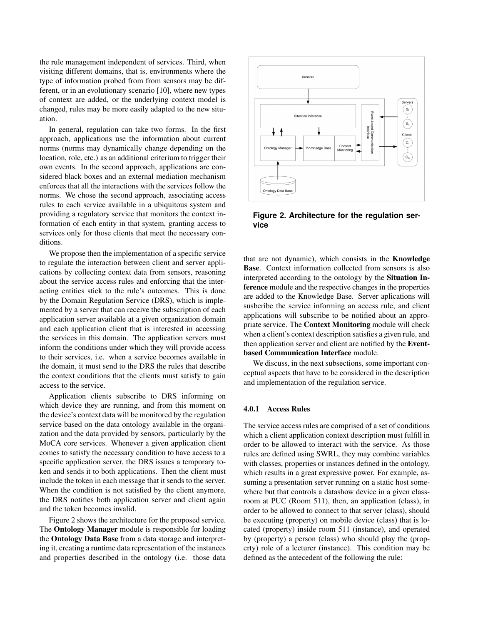the rule management independent of services. Third, when visiting different domains, that is, environments where the type of information probed from from sensors may be different, or in an evolutionary scenario [10], where new types of context are added, or the underlying context model is changed, rules may be more easily adapted to the new situation.

In general, regulation can take two forms. In the first approach, applications use the information about current norms (norms may dynamically change depending on the location, role, etc.) as an additional criterium to trigger their own events. In the second approach, applications are considered black boxes and an external mediation mechanism enforces that all the interactions with the services follow the norms. We chose the second approach, associating access rules to each service available in a ubiquitous system and providing a regulatory service that monitors the context information of each entity in that system, granting access to services only for those clients that meet the necessary conditions.

We propose then the implementation of a specific service to regulate the interaction between client and server applications by collecting context data from sensors, reasoning about the service access rules and enforcing that the interacting entities stick to the rule's outcomes. This is done by the Domain Regulation Service (DRS), which is implemented by a server that can receive the subscription of each application server available at a given organization domain and each application client that is interested in accessing the services in this domain. The application servers must inform the conditions under which they will provide access to their services, i.e. when a service becomes available in the domain, it must send to the DRS the rules that describe the context conditions that the clients must satisfy to gain access to the service.

Application clients subscribe to DRS informing on which device they are running, and from this moment on the device's context data will be monitored by the regulation service based on the data ontology available in the organization and the data provided by sensors, particularly by the MoCA core services. Whenever a given application client comes to satisfy the necessary condition to have access to a specific application server, the DRS issues a temporary token and sends it to both applications. Then the client must include the token in each message that it sends to the server. When the condition is not satisfied by the client anymore, the DRS notifies both application server and client again and the token becomes invalid.

Figure 2 shows the architecture for the proposed service. The Ontology Manager module is responsible for loading the Ontology Data Base from a data storage and interpreting it, creating a runtime data representation of the instances and properties described in the ontology (i.e. those data



**Figure 2. Architecture for the regulation service**

that are not dynamic), which consists in the Knowledge Base. Context information collected from sensors is also interpreted according to the ontology by the Situation Inference module and the respective changes in the properties are added to the Knowledge Base. Server aplications will susbcribe the service informing an access rule, and client applications will subscribe to be notified about an appropriate service. The Context Monitoring module will check when a client's context description satisfies a given rule, and then application server and client are notified by the Eventbased Communication Interface module.

We discuss, in the next subsections, some important conceptual aspects that have to be considered in the description and implementation of the regulation service.

#### 4.0.1 Access Rules

The service access rules are comprised of a set of conditions which a client application context description must fulfill in order to be allowed to interact with the service. As those rules are defined using SWRL, they may combine variables with classes, properties or instances defined in the ontology, which results in a great expressive power. For example, assuming a presentation server running on a static host somewhere but that controls a datashow device in a given classroom at PUC (Room 511), then, an application (class), in order to be allowed to connect to that server (class), should be executing (property) on mobile device (class) that is located (property) inside room 511 (instance), and operated by (property) a person (class) who should play the (property) role of a lecturer (instance). This condition may be defined as the antecedent of the following the rule: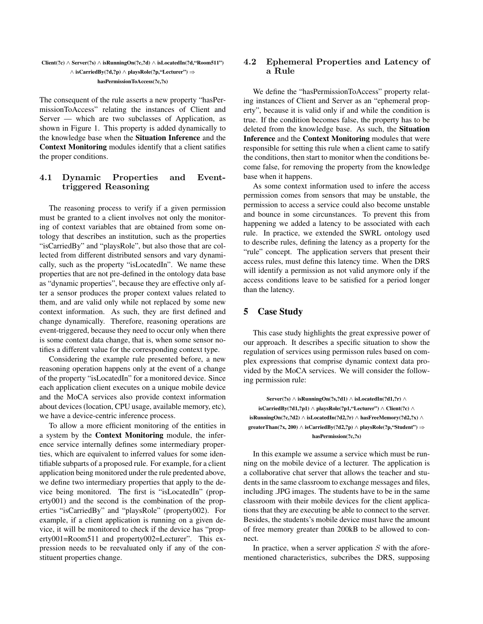## Client(?c) ∧ Server(?s) ∧ isRunningOn(?c,?d) ∧ isLocatedIn(?d, "Room511") ∧ isCarriedBy(?d,?p) ∧ playsRole(?p,"Lecturer") ⇒ hasPermissionToAccess(?c,?s)

The consequent of the rule asserts a new property "hasPermissionToAccess" relating the instances of Client and Server — which are two subclasses of Application, as shown in Figure 1. This property is added dynamically to the knowledge base when the Situation Inference and the Context Monitoring modules identify that a client satifies the proper conditions.

# 4.1 Dynamic Properties and Eventtriggered Reasoning

The reasoning process to verify if a given permission must be granted to a client involves not only the monitoring of context variables that are obtained from some ontology that describes an institution, such as the properties "isCarriedBy" and "playsRole", but also those that are collected from different distributed sensors and vary dynamically, such as the property "isLocatedIn". We name these properties that are not pre-defined in the ontology data base as "dynamic properties", because they are effective only after a sensor produces the proper context values related to them, and are valid only while not replaced by some new context information. As such, they are first defined and change dynamically. Therefore, reasoning operations are event-triggered, because they need to occur only when there is some context data change, that is, when some sensor notifies a different value for the corresponding context type.

Considering the example rule presented before, a new reasoning operation happens only at the event of a change of the property "isLocatedIn" for a monitored device. Since each application client executes on a unique mobile device and the MoCA services also provide context information about devices (location, CPU usage, available memory, etc), we have a device-centric inference process.

To allow a more efficient monitoring of the entities in a system by the Context Monitoring module, the inference service internally defines some intermediary properties, which are equivalent to inferred values for some identifiable subparts of a proposed rule. For example, for a client application being monitored under the rule predented above, we define two intermediary properties that apply to the device being monitored. The first is "isLocatedIn" (property001) and the second is the combination of the properties "isCarriedBy" and "playsRole" (property002). For example, if a client application is running on a given device, it will be monitored to check if the device has "property001=Room511 and property002=Lecturer". This expression needs to be reevaluated only if any of the constituent properties change.

## 4.2 Ephemeral Properties and Latency of a Rule

We define the "hasPermissionToAccess" property relating instances of Client and Server as an "ephemeral property", because it is valid only if and while the condition is true. If the condition becomes false, the property has to be deleted from the knowledge base. As such, the Situation Inference and the Context Monitoring modules that were responsible for setting this rule when a client came to satify the conditions, then start to monitor when the conditions become false, for removing the property from the knowledge base when it happens.

As some context information used to infere the access permission comes from sensors that may be unstable, the permission to access a service could also become unstable and bounce in some circunstances. To prevent this from happening we added a latency to be associated with each rule. In practice, we extended the SWRL ontology used to describe rules, defining the latency as a property for the "rule" concept. The application servers that present their access rules, must define this latency time. When the DRS will identify a permission as not valid anymore only if the access conditions leave to be satisfied for a period longer than the latency.

# 5 Case Study

This case study highlights the great expressive power of our approach. It describes a specific situation to show the regulation of services using permisson rules based on complex expressions that comprise dynamic context data provided by the MoCA services. We will consider the following permission rule:

Server(?s)  $\land$  isRunningOn(?s,?d1)  $\land$  isLocatedIn(?d1,?r)  $\land$ isCarriedBy(?d1,?p1) ∧ playsRole(?p1,"Lecturer") ∧ Client(?c) ∧ isRunningOn(?c,?d2) ∧ isLocatedIn(?d2,?r) ∧ hasFreeMemory(?d2,?x) ∧  $greatest Than(?x, 200) \wedge isCarriedBy(?d2, ?p) \wedge playsRole(?p, "Student") \Rightarrow$ hasPermission(?c,?s)

In this example we assume a service which must be running on the mobile device of a lecturer. The application is a collaborative chat server that allows the teacher and students in the same classroom to exchange messages and files, including .JPG images. The students have to be in the same classroom with their mobile devices for the client applications that they are executing be able to connect to the server. Besides, the students's mobile device must have the amount of free memory greater than 200kB to be allowed to connect.

In practice, when a server application  $S$  with the aforementioned characteristics, subcribes the DRS, supposing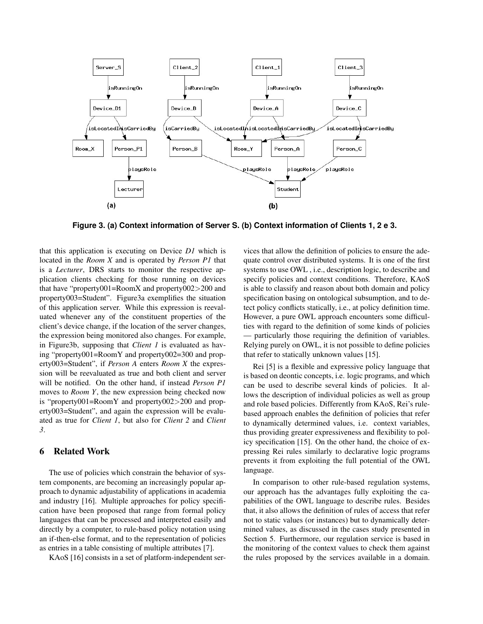

**Figure 3. (a) Context information of Server S. (b) Context information of Clients 1, 2 e 3.**

that this application is executing on Device *D1* which is located in the *Room X* and is operated by *Person P1* that is a *Lecturer*, DRS starts to monitor the respective application clients checking for those running on devices that have "property001=RoomX and property002>200 and property003=Student". Figure3a exemplifies the situation of this application server. While this expression is reevaluated whenever any of the constituent properties of the client's device change, if the location of the server changes, the expression being monitored also changes. For example, in Figure3b, supposing that *Client 1* is evaluated as having "property001=RoomY and property002=300 and property003=Student", if *Person A* enters *Room X* the expression will be reevaluated as true and both client and server will be notified. On the other hand, if instead *Person P1* moves to *Room Y*, the new expression being checked now is "property001=RoomY and property002>200 and property003=Student", and again the expression will be evaluated as true for *Client 1*, but also for *Client 2* and *Client 3*.

## 6 Related Work

The use of policies which constrain the behavior of system components, are becoming an increasingly popular approach to dynamic adjustability of applications in academia and industry [16]. Multiple approaches for policy specification have been proposed that range from formal policy languages that can be processed and interpreted easily and directly by a computer, to rule-based policy notation using an if-then-else format, and to the representation of policies as entries in a table consisting of multiple attributes [7].

KAoS [16] consists in a set of platform-independent ser-

vices that allow the definition of policies to ensure the adequate control over distributed systems. It is one of the first systems to use OWL , i.e., description logic, to describe and specify policies and context conditions. Therefore, KAoS is able to classify and reason about both domain and policy specification basing on ontological subsumption, and to detect policy conflicts statically, i.e., at policy definition time. However, a pure OWL approach encounters some difficulties with regard to the definition of some kinds of policies — particularly those requiring the definition of variables. Relying purely on OWL, it is not possible to define policies that refer to statically unknown values [15].

Rei [5] is a flexible and expressive policy language that is based on deontic concepts, i.e. logic programs, and which can be used to describe several kinds of policies. It allows the description of individual policies as well as group and role based policies. Differently from KAoS, Rei's rulebased approach enables the definition of policies that refer to dynamically determined values, i.e. context variables, thus providing greater expressiveness and flexibility to policy specification [15]. On the other hand, the choice of expressing Rei rules similarly to declarative logic programs prevents it from exploiting the full potential of the OWL language.

In comparison to other rule-based regulation systems, our approach has the advantages fully exploiting the capabilities of the OWL language to describe rules. Besides that, it also allows the definition of rules of access that refer not to static values (or instances) but to dynamically determined values, as discussed in the cases study presented in Section 5. Furthermore, our regulation service is based in the monitoring of the context values to check them against the rules proposed by the services available in a domain.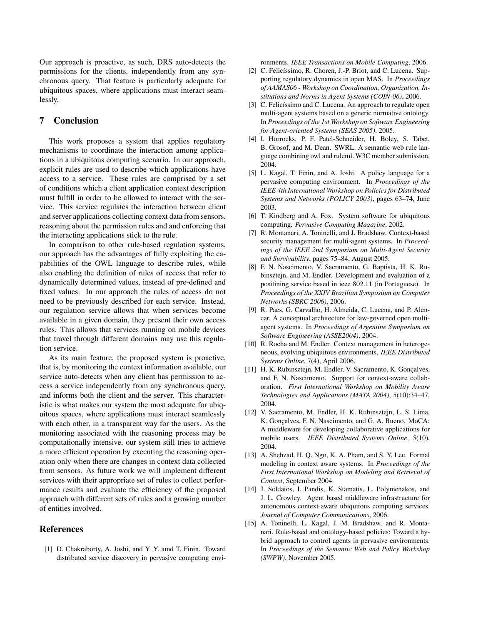Our approach is proactive, as such, DRS auto-detects the permissions for the clients, independently from any synchronous query. That feature is particularly adequate for ubiquitous spaces, where applications must interact seamlessly.

## 7 Conclusion

This work proposes a system that applies regulatory mechanisms to coordinate the interaction among applications in a ubiquitous computing scenario. In our approach, explicit rules are used to describe which applications have access to a service. These rules are comprised by a set of conditions which a client application context description must fulfill in order to be allowed to interact with the service. This service regulates the interaction between client and server applications collecting context data from sensors, reasoning about the permission rules and and enforcing that the interacting applications stick to the rule.

In comparison to other rule-based regulation systems, our approach has the advantages of fully exploiting the capabilities of the OWL language to describe rules, while also enabling the definition of rules of access that refer to dynamically determined values, instead of pre-defined and fixed values. In our approach the rules of access do not need to be previously described for each service. Instead, our regulation service allows that when services become available in a given domain, they present their own access rules. This allows that services running on mobile devices that travel through different domains may use this regulation service.

As its main feature, the proposed system is proactive, that is, by monitoring the context information available, our service auto-detects when any client has permission to access a service independently from any synchronous query, and informs both the client and the server. This characteristic is what makes our system the most adequate for ubiquitous spaces, where applications must interact seamlessly with each other, in a transparent way for the users. As the monitoring associated with the reasoning process may be computationally intensive, our system still tries to achieve a more efficient operation by executing the reasoning operation only when there are changes in context data collected from sensors. As future work we will implement different services with their appropriate set of rules to collect performance results and evaluate the efficiency of the proposed approach with different sets of rules and a growing number of entities involved.

# References

[1] D. Chakraborty, A. Joshi, and Y. Y. amd T. Finin. Toward distributed service discovery in pervasive computing environments. *IEEE Transactions on Mobile Computing*, 2006.

- [2] C. Felicíssimo, R. Choren, J.-P. Briot, and C. Lucena. Supporting regulatory dynamics in open MAS. In *Proceedings of AAMAS06 - Workshop on Coordination, Organization, Institutions and Norms in Agent Systems (COIN-06)*, 2006.
- [3] C. Felicíssimo and C. Lucena. An approach to regulate open multi-agent systems based on a generic normative ontology. In *Proceedings of the 1st Workshop on Software Engineering for Agent-oriented Systems (SEAS 2005)*, 2005.
- [4] I. Horrocks, P. F. Patel-Schneider, H. Boley, S. Tabet, B. Grosof, and M. Dean. SWRL: A semantic web rule language combining owl and ruleml. W3C member submission, 2004.
- [5] L. Kagal, T. Finin, and A. Joshi. A policy language for a pervasive computing environment. In *Proceedings of the IEEE 4th International Workshop on Policies for Distributed Systems and Networks (POLICY 2003)*, pages 63–74, June 2003.
- [6] T. Kindberg and A. Fox. System software for ubiquitous computing. *Pervasive Computing Magazine*, 2002.
- [7] R. Montanari, A. Toninelli, and J. Bradshaw. Context-based security management for multi-agent systems. In *Proceedings of the IEEE 2nd Symposium on Multi-Agent Security and Survivability*, pages 75–84, August 2005.
- [8] F. N. Nascimento, V. Sacramento, G. Baptista, H. K. Rubinsztejn, and M. Endler. Development and evaluation of a positining service based in ieee 802.11 (in Portuguese). In *Proceedings of the XXIV Brazilian Symposium on Computer Networks (SBRC 2006)*, 2006.
- [9] R. Paes, G. Carvalho, H. Almeida, C. Lucena, and P. Alencar. A conceptual architecture for law-governed open multiagent systems. In *Proceedings of Argentine Symposium on Software Engineering (ASSE2004)*, 2004.
- [10] R. Rocha and M. Endler. Context management in heterogeneous, evolving ubiquitous environments. *IEEE Distributed Systems Online*, 7(4), April 2006.
- [11] H. K. Rubinsztejn, M. Endler, V. Sacramento, K. Gonçalves, and F. N. Nascimento. Support for context-aware collaboration. *First International Workshop on Mobility Aware Technologies and Applications (MATA 2004)*, 5(10):34–47, 2004.
- [12] V. Sacramento, M. Endler, H. K. Rubinsztejn, L. S. Lima, K. Gonçalves, F. N. Nascimento, and G. A. Bueno. MoCA: A middleware for developing collaborative applications for mobile users. *IEEE Distributed Systems Online*, 5(10), 2004.
- [13] A. Shehzad, H. Q. Ngo, K. A. Pham, and S. Y. Lee. Formal modeling in context aware systems. In *Proceedings of the First International Workshop on Modeling and Retrieval of Context*, September 2004.
- [14] J. Soldatos, I. Pandis, K. Stamatis, L. Polymenakos, and J. L. Crowley. Agent based middleware infrastructure for autonomous context-aware ubiquitous computing services. *Journal of Computer Communications*, 2006.
- [15] A. Toninelli, L. Kagal, J. M. Bradshaw, and R. Montanari. Rule-based and ontology-based policies: Toward a hybrid approach to control agents in pervasive environments. In *Proceedings of the Semantic Web and Policy Workshop (SWPW)*, November 2005.